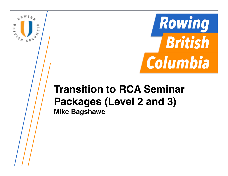

### **Transition to RCA Seminar Packages (Level 2 and 3) Mike Bagshawe**

 $\sum_{\substack{p=1\\ \sim s}}^{\infty}$ 

port  $\omega$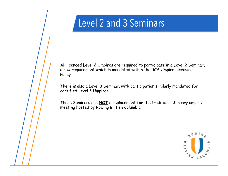All licenced Level 2 Umpires are required to participate in a Level 2 Seminar, a new requirement which is mandated within the RCA Umpire Licensing Policy.

There is also a Level 3 Seminar, with participation similarly mandated for certified Level 3 Umpires.

These Seminars are **NOT** a replacement for the traditional January umpire meeting hosted by Rowing British Columbia.

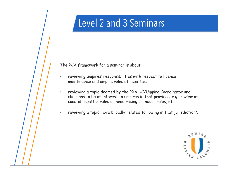The RCA framework for a seminar is about:

- reviewing umpires' responsibilities with respect to licence maintenance and umpire roles at regattas;
- reviewing a topic deemed by the PRA UC/Umpire Coordinator and clinicians to be of interest to umpires in that province, e.g., review of coastal regattas rules or head racing or indoor rules, etc.,
- reviewing a topic more broadly related to rowing in that jurisdiction".

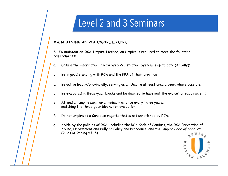#### **MAINTAINING AN RCA UMPIRE LICENCE**

**6. To maintain an RCA Umpire Licence**, an Umpire is required to meet the following requirements:

- a. Ensure the information in RCA Web Registration System is up to date (Anually);
- b. Be in good standing with RCA and the PRA of their province
- c. Be active locally/provincially, serving as an Umpire at least once a year, where possible;
- d. Be evaluated in three-year blocks and be deemed to have met the evaluation requirement;
- e. Attend an umpire seminar a minimum of once every three years, matching the three-year blocks for evaluation;
- f. Do not umpire at a Canadian regatta that is not sanctioned by RCA;
- g. Abide by the policies of RCA, including the RCA Code of Conduct, the RCA Prevention of Abuse, Harassment and Bullying Policy and Procedure, and the Umpire Code of Conduct (Rules of Racing s.11.5).

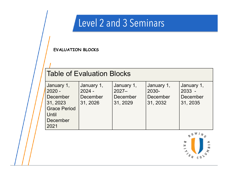**EVALUATION BLOCKS** 

#### Table of Evaluation Blocks

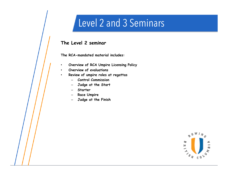#### **The Level 2 seminar**

**The RCA-mandated material includes:** 

- **Overview of RCA Umpire Licensing Policy**
- **Overview of evaluations**
- **Review of umpire roles at regattas** 
	- **Control Commission**
	- **Judge at the Start**
	- **Starter**
	- **Race Umpire**
	- **Judge at the Finish**

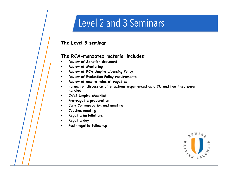#### **The Level 3 seminar**

#### **The RCA-mandated material includes:**

- **Review of Sanction document**
- **Review of Mentoring**
- **Review of RCA Umpire Licensing Policy**
- **Review of Evaluation Policy requirements**
- **Review of umpire roles at regattas**
- **Forum for discussion of situations experienced as a CU and how they were handled**
- **Chief Umpire checklist**
- **Pre-regatta preparation**
- **Jury Communication and meeting**
- **Coaches meeting**
- **Regatta installations**
- **Regatta day**
- **Post-regatta follow-up**